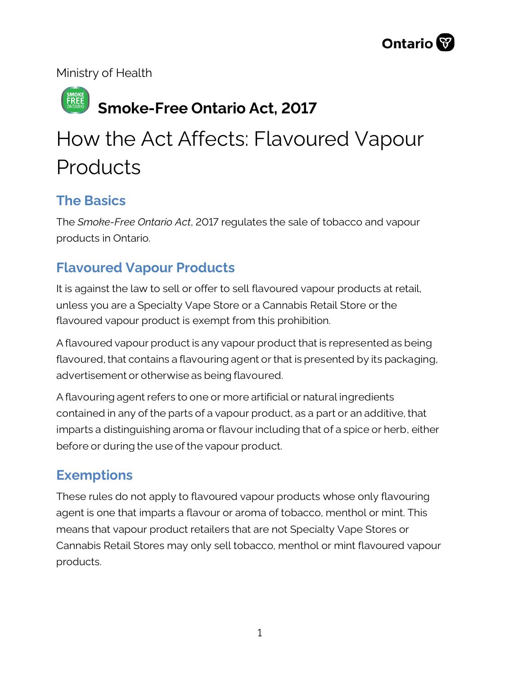Ministry of Health

## **Smoke-Free Ontario Act, 2017**

# How the Act Affects: Flavoured Vapour Products

### **The Basics**

The *Smoke-Free Ontario Act*, 2017 regulates the sale of tobacco and vapour products in Ontario.

## **Flavoured Vapour Products**

It is against the law to sell or offer to sell flavoured vapour products at retail, unless you are a Specialty Vape Store or a Cannabis Retail Store or the flavoured vapour product is exempt from this prohibition.

A flavoured vapour product is any vapour product that is represented as being flavoured, that contains a flavouring agent or that is presented by its packaging, advertisement or otherwise as being flavoured.

A flavouring agent refers to one or more artificial or natural ingredients contained in any of the parts of a vapour product, as a part or an additive, that imparts a distinguishing aroma or flavour including that of a spice or herb, either before or during the use of the vapour product.

## **Exemptions**

These rules do not apply to flavoured vapour products whose only flavouring agent is one that imparts a flavour or aroma of tobacco, menthol or mint. This means that vapour product retailers that are not Specialty Vape Stores or Cannabis Retail Stores may only sell tobacco, menthol or mint flavoured vapour products.